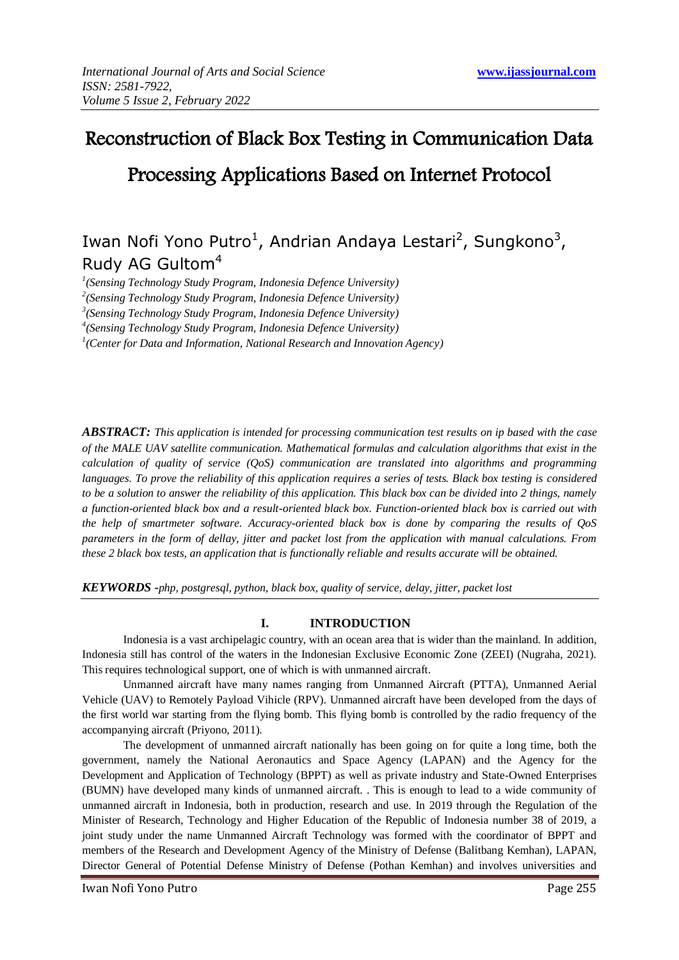# Reconstruction of Black Box Testing in Communication Data Processing Applications Based on Internet Protocol

# Iwan Nofi Yono Putro<sup>1</sup>, Andrian Andaya Lestari<sup>2</sup>, Sungkono<sup>3</sup>, Rudy AG Gultom<sup>4</sup>

*1 (Sensing Technology Study Program, Indonesia Defence University)*

*2 (Sensing Technology Study Program, Indonesia Defence University)* 

*3 (Sensing Technology Study Program, Indonesia Defence University)* 

*4 (Sensing Technology Study Program, Indonesia Defence University)* 

<sup>1</sup> (Center for Data and Information, National Research and Innovation Agency)

*ABSTRACT: This application is intended for processing communication test results on ip based with the case of the MALE UAV satellite communication. Mathematical formulas and calculation algorithms that exist in the calculation of quality of service (QoS) communication are translated into algorithms and programming languages. To prove the reliability of this application requires a series of tests. Black box testing is considered to be a solution to answer the reliability of this application. This black box can be divided into 2 things, namely a function-oriented black box and a result-oriented black box. Function-oriented black box is carried out with the help of smartmeter software. Accuracy-oriented black box is done by comparing the results of QoS parameters in the form of dellay, jitter and packet lost from the application with manual calculations. From these 2 black box tests, an application that is functionally reliable and results accurate will be obtained.*

*KEYWORDS -php, postgresql, python, black box, quality of service, delay, jitter, packet lost*

# **I. INTRODUCTION**

Indonesia is a vast archipelagic country, with an ocean area that is wider than the mainland. In addition, Indonesia still has control of the waters in the Indonesian Exclusive Economic Zone (ZEEI) (Nugraha, 2021). This requires technological support, one of which is with unmanned aircraft.

Unmanned aircraft have many names ranging from Unmanned Aircraft (PTTA), Unmanned Aerial Vehicle (UAV) to Remotely Payload Vihicle (RPV). Unmanned aircraft have been developed from the days of the first world war starting from the flying bomb. This flying bomb is controlled by the radio frequency of the accompanying aircraft (Priyono, 2011).

The development of unmanned aircraft nationally has been going on for quite a long time, both the government, namely the National Aeronautics and Space Agency (LAPAN) and the Agency for the Development and Application of Technology (BPPT) as well as private industry and State-Owned Enterprises (BUMN) have developed many kinds of unmanned aircraft. . This is enough to lead to a wide community of unmanned aircraft in Indonesia, both in production, research and use. In 2019 through the Regulation of the Minister of Research, Technology and Higher Education of the Republic of Indonesia number 38 of 2019, a joint study under the name Unmanned Aircraft Technology was formed with the coordinator of BPPT and members of the Research and Development Agency of the Ministry of Defense (Balitbang Kemhan), LAPAN, Director General of Potential Defense Ministry of Defense (Pothan Kemhan) and involves universities and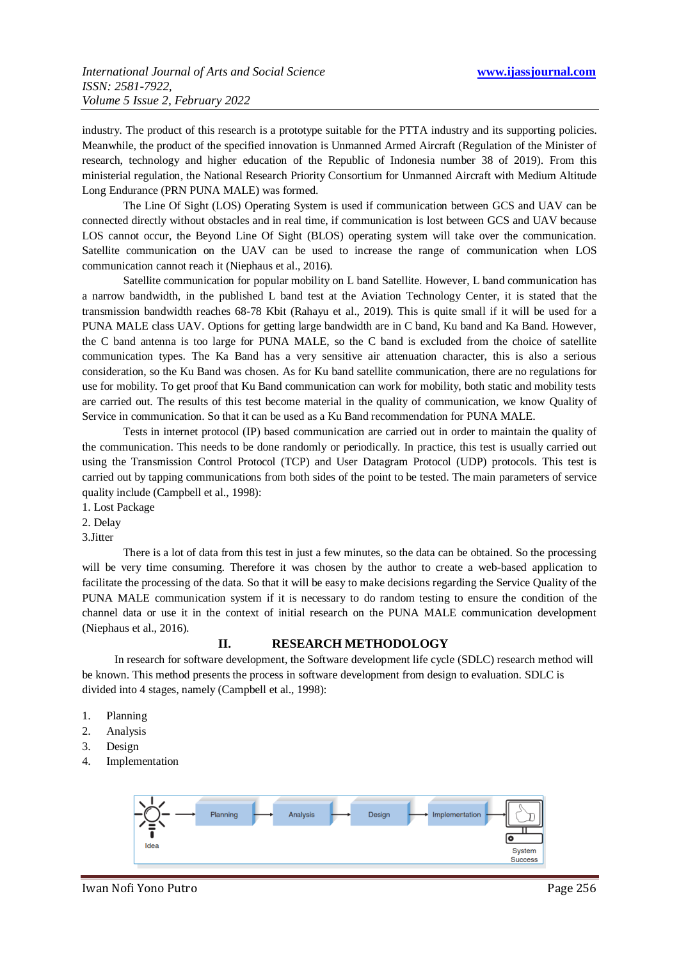industry. The product of this research is a prototype suitable for the PTTA industry and its supporting policies. Meanwhile, the product of the specified innovation is Unmanned Armed Aircraft (Regulation of the Minister of research, technology and higher education of the Republic of Indonesia number 38 of 2019). From this ministerial regulation, the National Research Priority Consortium for Unmanned Aircraft with Medium Altitude Long Endurance (PRN PUNA MALE) was formed.

The Line Of Sight (LOS) Operating System is used if communication between GCS and UAV can be connected directly without obstacles and in real time, if communication is lost between GCS and UAV because LOS cannot occur, the Beyond Line Of Sight (BLOS) operating system will take over the communication. Satellite communication on the UAV can be used to increase the range of communication when LOS communication cannot reach it (Niephaus et al., 2016).

Satellite communication for popular mobility on L band Satellite. However, L band communication has a narrow bandwidth, in the published L band test at the Aviation Technology Center, it is stated that the transmission bandwidth reaches 68-78 Kbit (Rahayu et al., 2019). This is quite small if it will be used for a PUNA MALE class UAV. Options for getting large bandwidth are in C band, Ku band and Ka Band. However, the C band antenna is too large for PUNA MALE, so the C band is excluded from the choice of satellite communication types. The Ka Band has a very sensitive air attenuation character, this is also a serious consideration, so the Ku Band was chosen. As for Ku band satellite communication, there are no regulations for use for mobility. To get proof that Ku Band communication can work for mobility, both static and mobility tests are carried out. The results of this test become material in the quality of communication, we know Quality of Service in communication. So that it can be used as a Ku Band recommendation for PUNA MALE.

Tests in internet protocol (IP) based communication are carried out in order to maintain the quality of the communication. This needs to be done randomly or periodically. In practice, this test is usually carried out using the Transmission Control Protocol (TCP) and User Datagram Protocol (UDP) protocols. This test is carried out by tapping communications from both sides of the point to be tested. The main parameters of service quality include (Campbell et al., 1998):

1. Lost Package

2. Delay

3.Jitter

There is a lot of data from this test in just a few minutes, so the data can be obtained. So the processing will be very time consuming. Therefore it was chosen by the author to create a web-based application to facilitate the processing of the data. So that it will be easy to make decisions regarding the Service Quality of the PUNA MALE communication system if it is necessary to do random testing to ensure the condition of the channel data or use it in the context of initial research on the PUNA MALE communication development (Niephaus et al., 2016).

# **II. RESEARCH METHODOLOGY**

In research for software development, the Software development life cycle (SDLC) research method will be known. This method presents the process in software development from design to evaluation. SDLC is divided into 4 stages, namely (Campbell et al., 1998):

- 1. Planning
- 2. Analysis
- 3. Design
- 4. Implementation



Iwan Nofi Yono Putro Page 256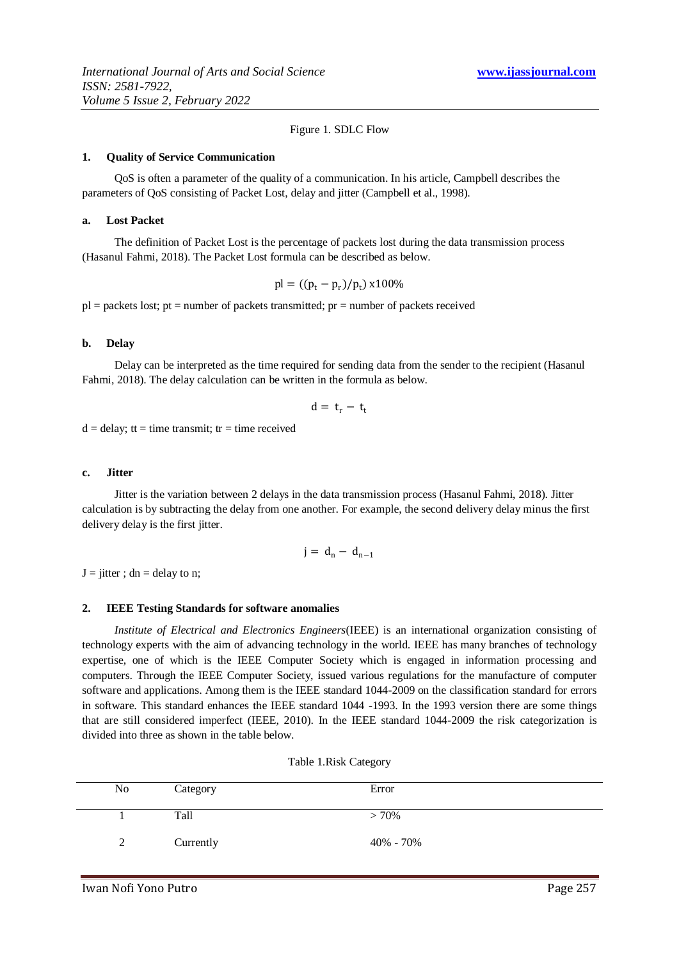#### Figure 1. SDLC Flow

#### **1. Quality of Service Communication**

QoS is often a parameter of the quality of a communication. In his article, Campbell describes the parameters of QoS consisting of Packet Lost, delay and jitter (Campbell et al., 1998).

#### **a. Lost Packet**

The definition of Packet Lost is the percentage of packets lost during the data transmission process (Hasanul Fahmi, 2018). The Packet Lost formula can be described as below.

$$
pl = ((p_t - p_r)/p_t) \times 100\%
$$

 $pl = packets lost$ ; pt = number of packets transmitted; pr = number of packets received

#### **b. Delay**

Delay can be interpreted as the time required for sending data from the sender to the recipient (Hasanul Fahmi, 2018). The delay calculation can be written in the formula as below.

$$
d=\,t_r-\,t_t
$$

 $d =$  delay; tt = time transmit; tr = time received

#### **c. Jitter**

Jitter is the variation between 2 delays in the data transmission process (Hasanul Fahmi, 2018). Jitter calculation is by subtracting the delay from one another. For example, the second delivery delay minus the first delivery delay is the first jitter.

$$
j = d_n - d_{n-1}
$$

 $J =$  jitter; dn = delay to n;

#### **2. IEEE Testing Standards for software anomalies**

*Institute of Electrical and Electronics Engineers*(IEEE) is an international organization consisting of technology experts with the aim of advancing technology in the world. IEEE has many branches of technology expertise, one of which is the IEEE Computer Society which is engaged in information processing and computers. Through the IEEE Computer Society, issued various regulations for the manufacture of computer software and applications. Among them is the IEEE standard 1044-2009 on the classification standard for errors in software. This standard enhances the IEEE standard 1044 -1993. In the 1993 version there are some things that are still considered imperfect (IEEE, 2010). In the IEEE standard 1044-2009 the risk categorization is divided into three as shown in the table below.

| No             | Category  | Error     |
|----------------|-----------|-----------|
|                | Tall      | $> 70\%$  |
| $\overline{2}$ | Currently | 40% - 70% |

| Table 1.Risk Category |  |
|-----------------------|--|
|-----------------------|--|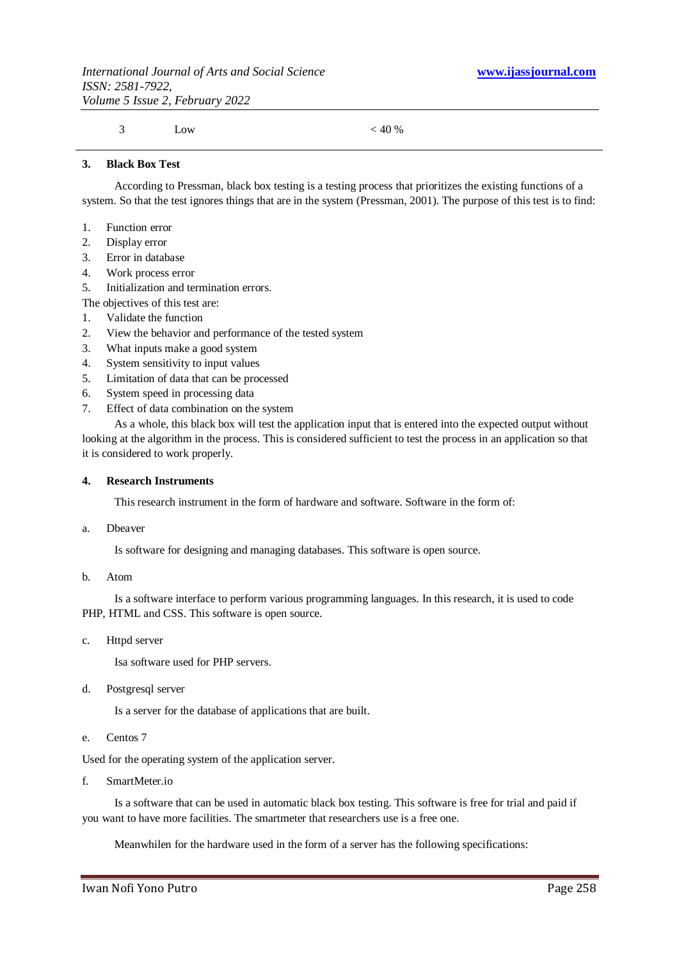3 Low  $< 40\%$ 

#### **3. Black Box Test**

According to Pressman, black box testing is a testing process that prioritizes the existing functions of a system. So that the test ignores things that are in the system (Pressman, 2001). The purpose of this test is to find:

- 1. Function error
- 2. Display error
- 3. Error in database
- 4. Work process error
- 5. Initialization and termination errors.

The objectives of this test are:

- 1. Validate the function
- 2. View the behavior and performance of the tested system
- 3. What inputs make a good system
- 4. System sensitivity to input values
- 5. Limitation of data that can be processed
- 6. System speed in processing data
- 7. Effect of data combination on the system

As a whole, this black box will test the application input that is entered into the expected output without looking at the algorithm in the process. This is considered sufficient to test the process in an application so that it is considered to work properly.

#### **4. Research Instruments**

This research instrument in the form of hardware and software. Software in the form of:

a. Dbeaver

Is software for designing and managing databases. This software is open source.

b. Atom

Is a software interface to perform various programming languages. In this research, it is used to code PHP, HTML and CSS. This software is open source.

c. Httpd server

Isa software used for PHP servers.

d. Postgresql server

Is a server for the database of applications that are built.

e. Centos 7

Used for the operating system of the application server.

f. SmartMeter.io

Is a software that can be used in automatic black box testing. This software is free for trial and paid if you want to have more facilities. The smartmeter that researchers use is a free one.

Meanwhilen for the hardware used in the form of a server has the following specifications: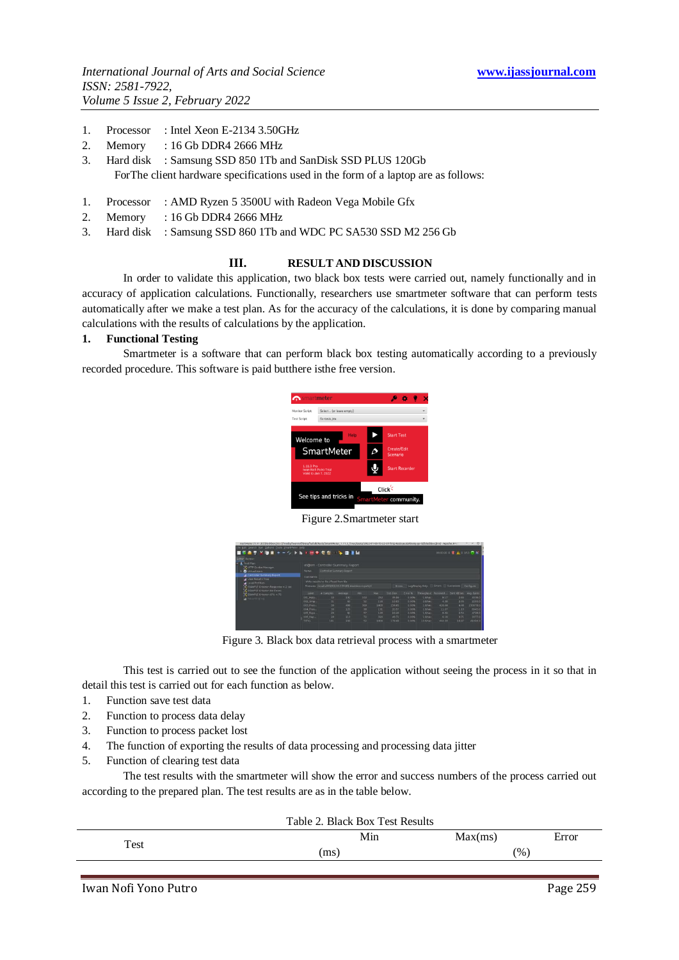- 1. Processor : Intel Xeon E-2134 3.50GHz
- 2. Memory : 16 Gb DDR4 2666 MHz
- 3. Hard disk : Samsung SSD 850 1Tb and SanDisk SSD PLUS 120Gb ForThe client hardware specifications used in the form of a laptop are as follows:
- 1. Processor : AMD Ryzen 5 3500U with Radeon Vega Mobile Gfx
- 2. Memory : 16 Gb DDR4 2666 MHz
- 3. Hard disk : Samsung SSD 860 1Tb and WDC PC SA530 SSD M2 256 Gb

## **III. RESULT AND DISCUSSION**

In order to validate this application, two black box tests were carried out, namely functionally and in accuracy of application calculations. Functionally, researchers use smartmeter software that can perform tests automatically after we make a test plan. As for the accuracy of the calculations, it is done by comparing manual calculations with the results of calculations by the application.

#### **1. Functional Testing**

Smartmeter is a software that can perform black box testing automatically according to a previously recorded procedure. This software is paid butthere isthe free version.



Figure 2.Smartmeter start

| ■佐島県 M目目 +=クトル3回米市街 一名 海洋国                                                                                                             |            |                                                     |            |      |            |           |               |                     |              |                                               |          |
|----------------------------------------------------------------------------------------------------------------------------------------|------------|-----------------------------------------------------|------------|------|------------|-----------|---------------|---------------------|--------------|-----------------------------------------------|----------|
| <b>Editor Rutnar</b>                                                                                                                   |            |                                                     |            |      |            |           |               |                     |              |                                               |          |
| - A Test Plan<br>C - FIP Cookie Manager                                                                                                |            | et@rm - Controller Summary Report                   |            |      |            |           |               |                     |              |                                               |          |
| <b>B</b> Virtual Islam                                                                                                                 | Name-      | Controller Summary Regort                           |            |      |            |           |               |                     |              |                                               |          |
| Controller Summary Report                                                                                                              | Commercia  |                                                     |            |      |            |           |               |                     |              |                                               |          |
| A View Bength Tree<br>J Local PerfNon-<br>EXAMPLE Ortenson Response < 2 sec<br>E EXAMPLE Citarian No Emors<br>COMPLE Citerian CPU + 75 |            | Write results to file / Read from file              |            |      |            |           |               |                     |              |                                               |          |
|                                                                                                                                        |            | Flename imsults/20220103-133401-blackbox report.itl |            |      |            | Stewart.  |               |                     |              | Log/Deplay Only. If Krons Successes Configure |          |
|                                                                                                                                        | tabel      | a Sansier                                           | Average    | Mm.  | <b>Max</b> | Std. Dev. | <b>Strong</b> | Throughout Received |              | Sent Kärsec Avg Bytes                         |          |
| A Percenting line :                                                                                                                    | 001 Hala   | 22                                                  | 132        | 102  | 252        | 35.99     | 0.00%         | 1.9/sec             | 8.17         | 2.84                                          | 4339.0   |
|                                                                                                                                        | 002 Smp.,  | $^{12}$                                             | $+3$       | 32   | 116        | 13.03     | 0.00%         | 3.0NAC              | 4.31         | 2.95                                          | 2293.0   |
|                                                                                                                                        | 003. Pros. | 30 <sup>2</sup>                                     | <b>SER</b> | 300. | 1409       | 234.65    | 0.00%         | 1.Wsec              | <b>SIR6S</b> | 4.48                                          | 230678.0 |
|                                                                                                                                        | DOA Proc.  | 20                                                  | 125        | oa   | ter        | 20.57     | 0.00%         | 1.Weec              | 11:07        | 3.19                                          | 6045.0   |
|                                                                                                                                        | OOS EXPE-  | 29                                                  | 21         | 12   | 125        | 24.26     | 0.00%         | 1.9/sec             | 8.691        | 2.54                                          | 4729.0   |
|                                                                                                                                        |            |                                                     |            |      |            |           |               |                     |              |                                               |          |
|                                                                                                                                        | 006 Hap.   | 29                                                  | 33.3       | 22   | 320        | 46.71     | a così.       | 1.9/esc             | 6.18         | $-1.71$                                       | 3377.0   |

Figure 3. Black box data retrieval process with a smartmeter

This test is carried out to see the function of the application without seeing the process in it so that in detail this test is carried out for each function as below.

- 1. Function save test data
- 2. Function to process data delay
- 3. Function to process packet lost
- 4. The function of exporting the results of data processing and processing data jitter
- 5. Function of clearing test data

The test results with the smartmeter will show the error and success numbers of the process carried out according to the prepared plan. The test results are as in the table below.

|      | Table 2. Black Box Test Results |         |       |
|------|---------------------------------|---------|-------|
| Test | Min                             | Max(ms) | Error |
|      | (ms)                            | (% )    |       |
|      |                                 |         |       |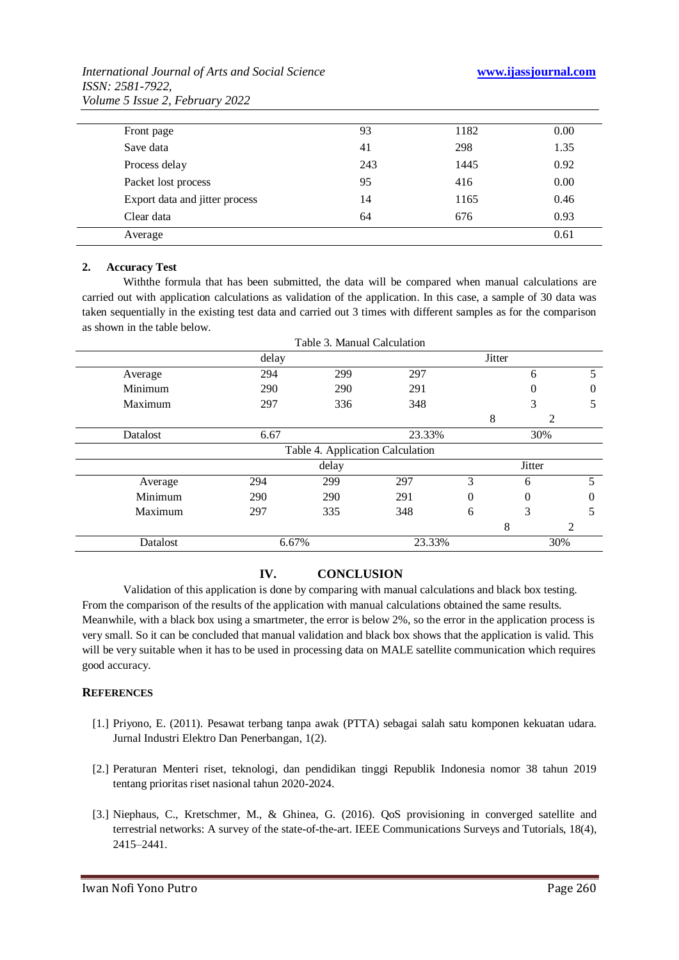*International Journal of Arts and Social Science* **www.ijassjournal.com**

| International Journal of Arts and Social Science |
|--------------------------------------------------|
| <i>ISSN: 2581-7922,</i>                          |
| Volume 5 Issue 2, February 2022                  |

| Front page                     | 93  | 1182 | 0.00 |
|--------------------------------|-----|------|------|
| Save data                      | 41  | 298  | 1.35 |
| Process delay                  | 243 | 1445 | 0.92 |
| Packet lost process            | 95  | 416  | 0.00 |
| Export data and jitter process | 14  | 1165 | 0.46 |
| Clear data                     | 64  | 676  | 0.93 |
| Average                        |     |      | 0.61 |

## **2. Accuracy Test**

Withthe formula that has been submitted, the data will be compared when manual calculations are carried out with application calculations as validation of the application. In this case, a sample of 30 data was taken sequentially in the existing test data and carried out 3 times with different samples as for the comparison as shown in the table below.

| delay<br>294<br>290<br>297 | 299<br>297<br>290<br>291<br>336<br>348 |                     | <b>Jitter</b><br>6<br>0<br>3               | 5<br>0        |
|----------------------------|----------------------------------------|---------------------|--------------------------------------------|---------------|
|                            |                                        |                     |                                            |               |
|                            |                                        |                     |                                            |               |
|                            |                                        |                     |                                            |               |
|                            |                                        |                     |                                            | 5             |
|                            |                                        | 8                   |                                            | 2             |
| 6.67                       |                                        | 23.33%              | 30%                                        |               |
|                            |                                        |                     |                                            |               |
|                            |                                        |                     |                                            |               |
| 294                        | 297                                    | 3                   | 6                                          | 5             |
| 290                        | 291                                    | 0                   | 0                                          | 0             |
| 297<br>335                 | 348                                    | 6                   | 3                                          | 5             |
|                            |                                        |                     | 8                                          | 2             |
| 6.67%                      |                                        |                     |                                            | 30%           |
|                            |                                        | delay<br>299<br>290 | Table 4. Application Calculation<br>23.33% | <b>Jitter</b> |

# **IV. CONCLUSION**

Validation of this application is done by comparing with manual calculations and black box testing. From the comparison of the results of the application with manual calculations obtained the same results. Meanwhile, with a black box using a smartmeter, the error is below 2%, so the error in the application process is very small. So it can be concluded that manual validation and black box shows that the application is valid. This will be very suitable when it has to be used in processing data on MALE satellite communication which requires good accuracy.

# **REFERENCES**

- [1.] Priyono, E. (2011). Pesawat terbang tanpa awak (PTTA) sebagai salah satu komponen kekuatan udara. Jurnal Industri Elektro Dan Penerbangan, 1(2).
- [2.] Peraturan Menteri riset, teknologi, dan pendidikan tinggi Republik Indonesia nomor 38 tahun 2019 tentang prioritas riset nasional tahun 2020-2024.
- [3.] Niephaus, C., Kretschmer, M., & Ghinea, G. (2016). QoS provisioning in converged satellite and terrestrial networks: A survey of the state-of-the-art. IEEE Communications Surveys and Tutorials, 18(4), 2415–2441.